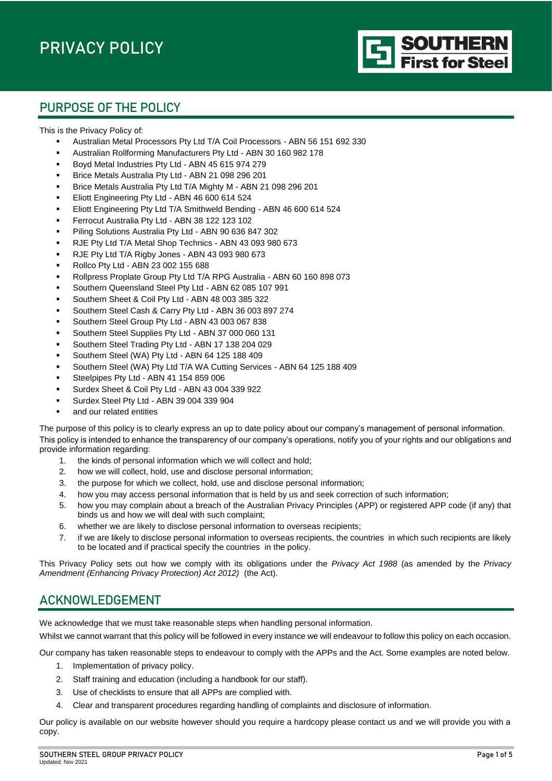

# PURPOSE OF THE POLICY

This is the Privacy Policy of:

- Australian Metal Processors Pty Ltd T/A Coil Processors ABN 56 151 692 330
- Australian Rollforming Manufacturers Pty Ltd ABN 30 160 982 178
- Boyd Metal Industries Pty Ltd ABN 45 615 974 279
- Brice Metals Australia Pty Ltd ABN 21 098 296 201
- Brice Metals Australia Pty Ltd T/A Mighty M ABN 21 098 296 201
- Eliott Engineering Pty Ltd ABN 46 600 614 524
- Eliott Engineering Pty Ltd T/A Smithweld Bending ABN 46 600 614 524
- Ferrocut Australia Pty Ltd ABN 38 122 123 102
- Piling Solutions Australia Pty Ltd ABN 90 636 847 302
- RJE Pty Ltd T/A Metal Shop Technics ABN 43 093 980 673
- RJE Pty Ltd T/A Rigby Jones ABN 43 093 980 673
- Rollco Pty Ltd ABN 23 002 155 688
- Rollpress Proplate Group Pty Ltd T/A RPG Australia ABN 60 160 898 073
- Southern Queensland Steel Pty Ltd ABN 62 085 107 991
- Southern Sheet & Coil Pty Ltd ABN 48 003 385 322
- Southern Steel Cash & Carry Pty Ltd ABN 36 003 897 274
- Southern Steel Group Pty Ltd ABN 43 003 067 838
- Southern Steel Supplies Pty Ltd ABN 37 000 060 131
- Southern Steel Trading Pty Ltd ABN 17 138 204 029
- Southern Steel (WA) Pty Ltd ABN 64 125 188 409
- Southern Steel (WA) Pty Ltd T/A WA Cutting Services ABN 64 125 188 409
- Steelpipes Pty Ltd ABN 41 154 859 006
- Surdex Sheet & Coil Pty Ltd ABN 43 004 339 922
- Surdex Steel Pty Ltd ABN 39 004 339 904
- and our related entities

The purpose of this policy is to clearly express an up to date policy about our company's management of personal information. This policy is intended to enhance the transparency of our company's operations, notify you of your rights and our obligations and provide information regarding:

- 1. the kinds of personal information which we will collect and hold;
- 2. how we will collect, hold, use and disclose personal information;
- 3. the purpose for which we collect, hold, use and disclose personal information;
- 4. how you may access personal information that is held by us and seek correction of such information;
- 5. how you may complain about a breach of the Australian Privacy Principles (APP) or registered APP code (if any) that binds us and how we will deal with such complaint;
- 6. whether we are likely to disclose personal information to overseas recipients;
- 7. if we are likely to disclose personal information to overseas recipients, the countries in which such recipients are likely to be located and if practical specify the countries in the policy.

This Privacy Policy sets out how we comply with its obligations under the *Privacy Act 1988* (as amended by the *Privacy Amendment (Enhancing Privacy Protection) Act 2012)* (the Act).

### ACKNOWLEDGEMENT

We acknowledge that we must take reasonable steps when handling personal information.

Whilst we cannot warrant that this policy will be followed in every instance we will endeavour to follow this policy on each occasion.

Our company has taken reasonable steps to endeavour to comply with the APPs and the Act. Some examples are noted below.

- 1. Implementation of privacy policy.
- 2. Staff training and education (including a handbook for our staff).
- 3. Use of checklists to ensure that all APPs are complied with.
- 4. Clear and transparent procedures regarding handling of complaints and disclosure of information.

Our policy is available on our website however should you require a hardcopy please contact us and we will provide you with a copy.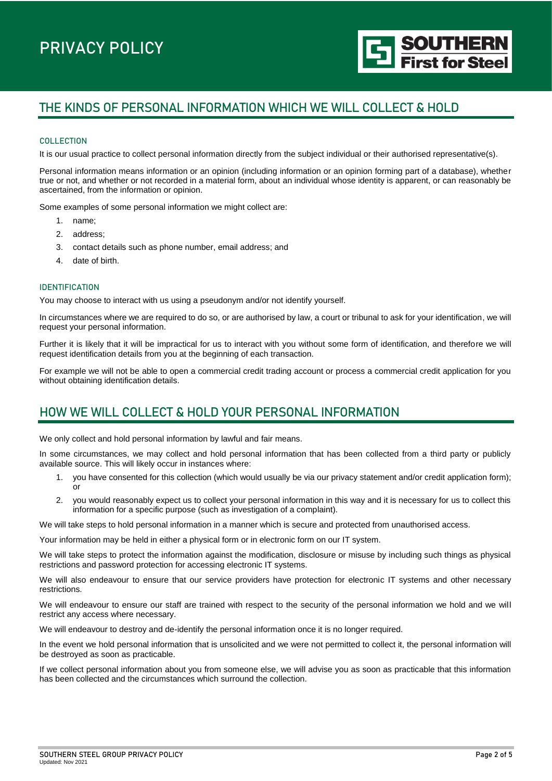# THE KINDS OF PERSONAL INFORMATION WHICH WE WILL COLLECT & HOLD

#### **COLLECTION**

It is our usual practice to collect personal information directly from the subject individual or their authorised representative(s).

Personal information means information or an opinion (including information or an opinion forming part of a database), whether true or not, and whether or not recorded in a material form, about an individual whose identity is apparent, or can reasonably be ascertained, from the information or opinion.

Some examples of some personal information we might collect are:

- 1. name;
- 2. address;
- 3. contact details such as phone number, email address; and
- 4. date of birth.

#### IDENTIFICATION

You may choose to interact with us using a pseudonym and/or not identify yourself.

In circumstances where we are required to do so, or are authorised by law, a court or tribunal to ask for your identification, we will request your personal information.

Further it is likely that it will be impractical for us to interact with you without some form of identification, and therefore we will request identification details from you at the beginning of each transaction.

For example we will not be able to open a commercial credit trading account or process a commercial credit application for you without obtaining identification details.

### HOW WE WILL COLLECT & HOLD YOUR PERSONAL INFORMATION

We only collect and hold personal information by lawful and fair means.

In some circumstances, we may collect and hold personal information that has been collected from a third party or publicly available source. This will likely occur in instances where:

- 1. you have consented for this collection (which would usually be via our privacy statement and/or credit application form); or
- 2. you would reasonably expect us to collect your personal information in this way and it is necessary for us to collect this information for a specific purpose (such as investigation of a complaint).

We will take steps to hold personal information in a manner which is secure and protected from unauthorised access.

Your information may be held in either a physical form or in electronic form on our IT system.

We will take steps to protect the information against the modification, disclosure or misuse by including such things as physical restrictions and password protection for accessing electronic IT systems.

We will also endeavour to ensure that our service providers have protection for electronic IT systems and other necessary restrictions.

We will endeavour to ensure our staff are trained with respect to the security of the personal information we hold and we will restrict any access where necessary.

We will endeavour to destroy and de-identify the personal information once it is no longer required.

In the event we hold personal information that is unsolicited and we were not permitted to collect it, the personal information will be destroyed as soon as practicable.

If we collect personal information about you from someone else, we will advise you as soon as practicable that this information has been collected and the circumstances which surround the collection.

**SOUTHERN**<br>First for Steel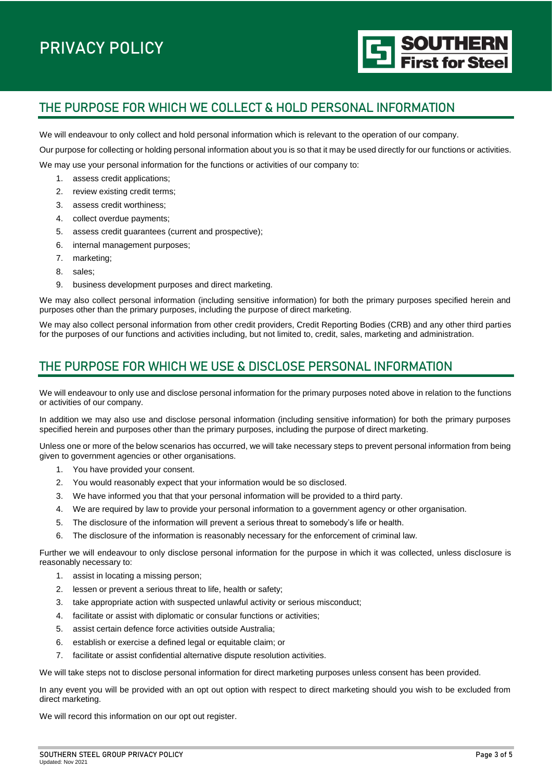

# THE PURPOSE FOR WHICH WE COLLECT & HOLD PERSONAL INFORMATION

We will endeavour to only collect and hold personal information which is relevant to the operation of our company.

Our purpose for collecting or holding personal information about you is so that it may be used directly for our functions or activities.

We may use your personal information for the functions or activities of our company to:

- 1. assess credit applications;
- 2. review existing credit terms;
- 3. assess credit worthiness;
- 4. collect overdue payments;
- 5. assess credit guarantees (current and prospective);
- 6. internal management purposes;
- 7. marketing;
- 8. sales;
- 9. business development purposes and direct marketing.

We may also collect personal information (including sensitive information) for both the primary purposes specified herein and purposes other than the primary purposes, including the purpose of direct marketing.

We may also collect personal information from other credit providers, Credit Reporting Bodies (CRB) and any other third parties for the purposes of our functions and activities including, but not limited to, credit, sales, marketing and administration.

# THE PURPOSE FOR WHICH WE USE & DISCLOSE PERSONAL INFORMATION

We will endeavour to only use and disclose personal information for the primary purposes noted above in relation to the functions or activities of our company.

In addition we may also use and disclose personal information (including sensitive information) for both the primary purposes specified herein and purposes other than the primary purposes, including the purpose of direct marketing.

Unless one or more of the below scenarios has occurred, we will take necessary steps to prevent personal information from being given to government agencies or other organisations.

- 1. You have provided your consent.
- 2. You would reasonably expect that your information would be so disclosed.
- 3. We have informed you that that your personal information will be provided to a third party.
- 4. We are required by law to provide your personal information to a government agency or other organisation.
- 5. The disclosure of the information will prevent a serious threat to somebody's life or health.
- 6. The disclosure of the information is reasonably necessary for the enforcement of criminal law.

Further we will endeavour to only disclose personal information for the purpose in which it was collected, unless disclosure is reasonably necessary to:

- 1. assist in locating a missing person;
- 2. lessen or prevent a serious threat to life, health or safety;
- 3. take appropriate action with suspected unlawful activity or serious misconduct;
- 4. facilitate or assist with diplomatic or consular functions or activities;
- 5. assist certain defence force activities outside Australia;
- 6. establish or exercise a defined legal or equitable claim; or
- 7. facilitate or assist confidential alternative dispute resolution activities.

We will take steps not to disclose personal information for direct marketing purposes unless consent has been provided.

In any event you will be provided with an opt out option with respect to direct marketing should you wish to be excluded from direct marketing.

We will record this information on our opt out register.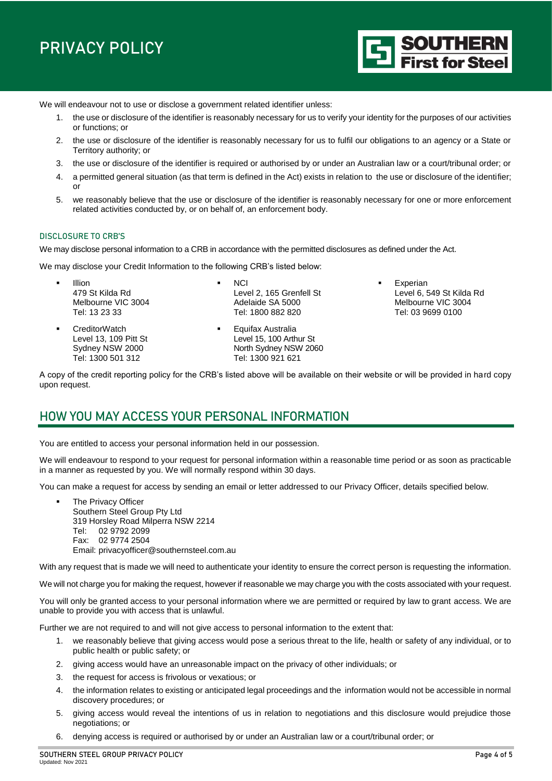We will endeavour not to use or disclose a government related identifier unless:

- 1. the use or disclosure of the identifier is reasonably necessary for us to verify your identity for the purposes of our activities or functions; or
- 2. the use or disclosure of the identifier is reasonably necessary for us to fulfil our obligations to an agency or a State or Territory authority; or
- 3. the use or disclosure of the identifier is required or authorised by or under an Australian law or a court/tribunal order; or
- 4. a permitted general situation (as that term is defined in the Act) exists in relation to the use or disclosure of the identifier; or
- 5. we reasonably believe that the use or disclosure of the identifier is reasonably necessary for one or more enforcement related activities conducted by, or on behalf of, an enforcement body.

#### DISCLOSURE TO CRB'S

We may disclose personal information to a CRB in accordance with the permitted disclosures as defined under the Act.

We may disclose your Credit Information to the following CRB's listed below:

- Illion 479 St Kilda Rd Melbourne VIC 3004 Tel: 13 23 33
- CreditorWatch Level 13, 109 Pitt St Sydney NSW 2000 Tel: 1300 501 312
- **NCI** Level 2, 165 Grenfell St Adelaide SA 5000 Tel: 1800 882 820
- **Equifax Australia** Level 15, 100 Arthur St North Sydney NSW 2060 Tel: 1300 921 621
- Experian Level 6, 549 St Kilda Rd Melbourne VIC 3004 Tel: 03 9699 0100

**SOUTHERN**<br>First for Steel

A copy of the credit reporting policy for the CRB's listed above will be available on their website or will be provided in hard copy upon request.

#### HOW YOU MAY ACCESS YOUR PERSONAL INFORMATION

You are entitled to access your personal information held in our possession.

We will endeavour to respond to your request for personal information within a reasonable time period or as soon as practicable in a manner as requested by you. We will normally respond within 30 days.

You can make a request for access by sending an email or letter addressed to our Privacy Officer, details specified below.

 The Privacy Officer Southern Steel Group Pty Ltd 319 Horsley Road Milperra NSW 2214 Tel: 02 9792 2099 Fax: 02 9774 2504 Email: [privacyofficer@southernsteel.com.au](mailto:privacyofficer@southernsteel.com.au)

With any request that is made we will need to authenticate your identity to ensure the correct person is requesting the information.

We will not charge you for making the request, however if reasonable we may charge you with the costs associated with your request.

You will only be granted access to your personal information where we are permitted or required by law to grant access. We are unable to provide you with access that is unlawful.

Further we are not required to and will not give access to personal information to the extent that:

- 1. we reasonably believe that giving access would pose a serious threat to the life, health or safety of any individual, or to public health or public safety; or
- 2. giving access would have an unreasonable impact on the privacy of other individuals; or
- 3. the request for access is frivolous or vexatious; or
- 4. the information relates to existing or anticipated legal proceedings and the information would not be accessible in normal discovery procedures; or
- 5. giving access would reveal the intentions of us in relation to negotiations and this disclosure would prejudice those negotiations; or
- 6. denying access is required or authorised by or under an Australian law or a court/tribunal order; or